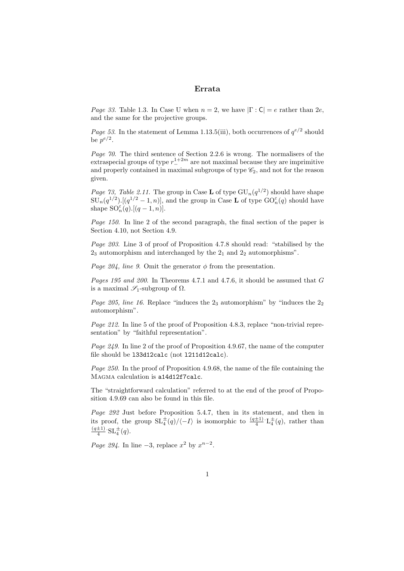## Errata

*Page 33.* Table 1.3. In Case U when  $n = 2$ , we have  $|\Gamma : \mathsf{C}| = e$  rather than  $2e$ , and the same for the projective groups.

*Page 53.* In the statement of Lemma 1.13.5(iii), both occurrences of  $q^{e/2}$  should be  $p^{e/2}$ .

Page 70. The third sentence of Section 2.2.6 is wrong. The normalisers of the extraspecial groups of type  $r_{-}^{1+2m}$  are not maximal because they are imprimitive and properly contained in maximal subgroups of type  $\mathcal{C}_2$ , and not for the reason given.

*Page 73, Table 2.11.* The group in Case **L** of type  $GU_n(q^{1/2})$  should have shape  $SU_n(q^{1/2})$ .  $[(q^{1/2}-1,n)]$ , and the group in Case **L** of type  $GO_n^{\varepsilon}(q)$  should have shape  $\mathrm{SO}_n^{\varepsilon}(q)$ .  $[(q-1,n)]$ .

Page 150. In line 2 of the second paragraph, the final section of the paper is Section 4.10, not Section 4.9.

Page 203. Line 3 of proof of Proposition 4.7.8 should read: "stabilised by the  $2<sub>3</sub>$  automorphism and interchanged by the  $2<sub>1</sub>$  and  $2<sub>2</sub>$  automorphisms".

*Page 204, line 9.* Omit the generator  $\phi$  from the presentation.

Pages 195 and 200. In Theorems 4.7.1 and 4.7.6, it should be assumed that G is a maximal  $\mathscr{S}_1$ -subgroup of  $\Omega$ .

*Page 205, line 16.* Replace "induces the  $2<sub>3</sub>$  automorphism" by "induces the  $2<sub>2</sub>$ automorphism".

Page 212. In line 5 of the proof of Proposition 4.8.3, replace "non-trivial representation" by "faithful representation".

Page 249. In line 2 of the proof of Proposition 4.9.67, the name of the computer file should be l33d12calc (not l211d12calc).

Page 250. In the proof of Proposition 4.9.68, the name of the file containing the Magma calculation is a14d12f7calc.

The "straightforward calculation" referred to at the end of the proof of Proposition 4.9.69 can also be found in this file.

Page 292 Just before Proposition 5.4.7, then in its statement, and then in its proof, the group  $SL_4^{\pm}(q)/\langle -I \rangle$  is isomorphic to  $\frac{(q\pm 1)}{4} \cdot L_4^{\pm}(q)$ , rather than  $(q\pm 1)$  $\frac{\pm 1}{4}$   $SL_4^{\pm}(q)$ .

Page 294. In line  $-3$ , replace  $x^2$  by  $x^{n-2}$ .